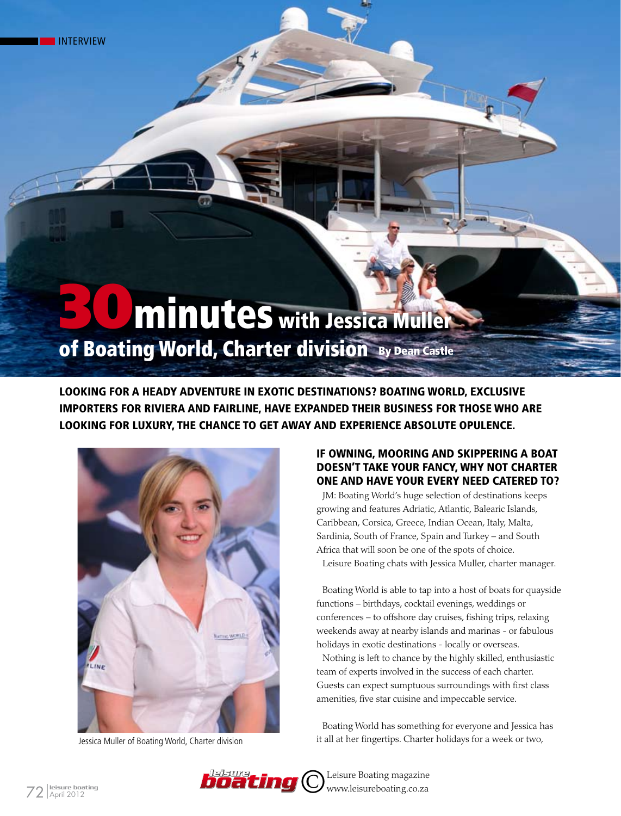# **30 minutes with Jessica Muller** of Boating World, Charter division By Dean Castle

Looking for a heady adventure in exotic destinations? Boating World, exclusive importers for Riviera and Fairline, have expanded their business for those who are looking for luxury, the chance to get away and experience absolute opulence.



Jessica Muller of Boating World, Charter division

# If owning, mooring and skippering a boat doesn't take your fancy, why not charter one and have your every need catered to?

JM: Boating World's huge selection of destinations keeps growing and features Adriatic, Atlantic, Balearic Islands, Caribbean, Corsica, Greece, Indian Ocean, Italy, Malta, Sardinia, South of France, Spain and Turkey – and South Africa that will soon be one of the spots of choice. Leisure Boating chats with Jessica Muller, charter manager.

Boating World is able to tap into a host of boats for quayside functions – birthdays, cocktail evenings, weddings or conferences – to offshore day cruises, fishing trips, relaxing weekends away at nearby islands and marinas - or fabulous holidays in exotic destinations - locally or overseas.

Nothing is left to chance by the highly skilled, enthusiastic team of experts involved in the success of each charter. Guests can expect sumptuous surroundings with first class amenities, five star cuisine and impeccable service.

Boating World has something for everyone and Jessica has it all at her fingertips. Charter holidays for a week or two,

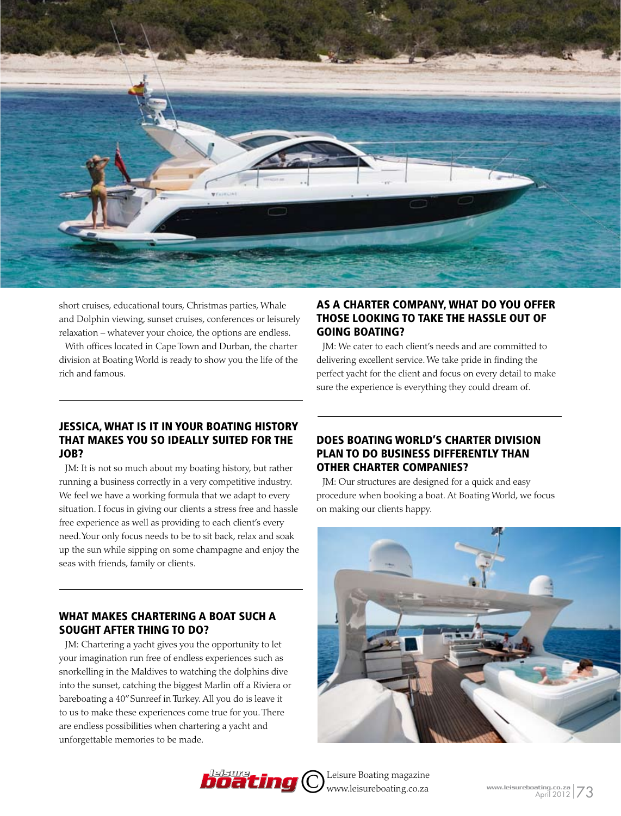

short cruises, educational tours, Christmas parties, Whale and Dolphin viewing, sunset cruises, conferences or leisurely relaxation – whatever your choice, the options are endless.

With offices located in Cape Town and Durban, the charter division at Boating World is ready to show you the life of the rich and famous.

#### Jessica, what is it in your boating history that makes you so ideally suited for the job?

JM: It is not so much about my boating history, but rather running a business correctly in a very competitive industry. We feel we have a working formula that we adapt to every situation. I focus in giving our clients a stress free and hassle free experience as well as providing to each client's every need. Your only focus needs to be to sit back, relax and soak up the sun while sipping on some champagne and enjoy the seas with friends, family or clients.

## WHAT MAKES CHARTERING A BOAT SUCH A SOUGHT AFTER THING TO DO?

JM: Chartering a yacht gives you the opportunity to let your imagination run free of endless experiences such as snorkelling in the Maldives to watching the dolphins dive into the sunset, catching the biggest Marlin off a Riviera or bareboating a 40" Sunreef in Turkey. All you do is leave it to us to make these experiences come true for you. There are endless possibilities when chartering a yacht and unforgettable memories to be made.

# As a charter company, what do you offer those looking to take the hassle out of going boating?

JM: We cater to each client's needs and are committed to delivering excellent service. We take pride in finding the perfect yacht for the client and focus on every detail to make sure the experience is everything they could dream of.

## Does Boating World's charter division plan to do business differently than other charter companies?

JM: Our structures are designed for a quick and easy procedure when booking a boat. At Boating World, we focus on making our clients happy.